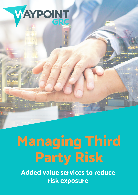

## **Managing Third Party Risk**

**Added value services to reduce risk exposure**